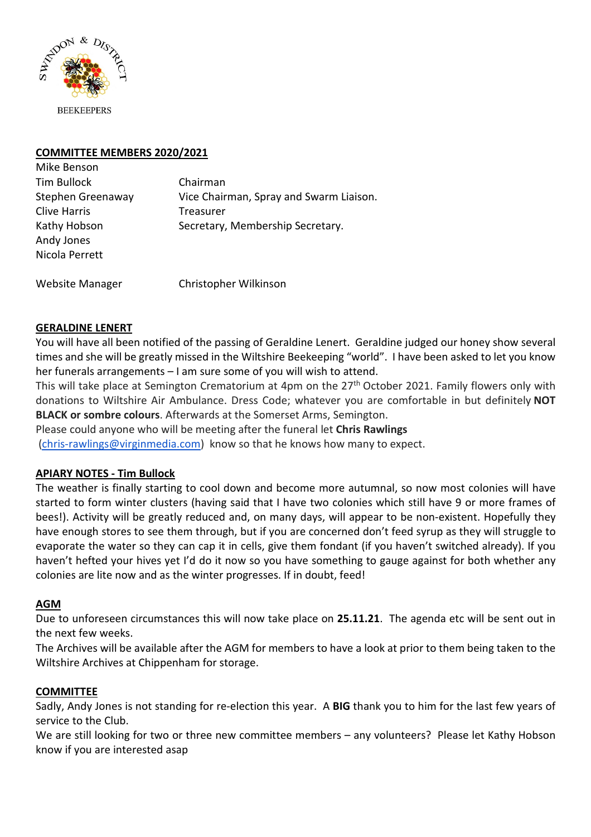

# **COMMITTEE MEMBERS 2020/2021**

| Mike Benson         |                                         |
|---------------------|-----------------------------------------|
| Tim Bullock         | Chairman                                |
| Stephen Greenaway   | Vice Chairman, Spray and Swarm Liaison. |
| <b>Clive Harris</b> | Treasurer                               |
| Kathy Hobson        | Secretary, Membership Secretary.        |
| Andy Jones          |                                         |
| Nicola Perrett      |                                         |
|                     |                                         |

Website Manager Christopher Wilkinson

#### **GERALDINE LENERT**

You will have all been notified of the passing of Geraldine Lenert. Geraldine judged our honey show several times and she will be greatly missed in the Wiltshire Beekeeping "world". I have been asked to let you know her funerals arrangements – I am sure some of you will wish to attend.

This will take place at Semington Crematorium at 4pm on the 27<sup>th</sup> October 2021. Family flowers only with donations to Wiltshire Air Ambulance. Dress Code; whatever you are comfortable in but definitely **NOT BLACK or sombre colours**. Afterwards at the Somerset Arms, Semington.

Please could anyone who will be meeting after the funeral let **Chris Rawlings** 

(chris-rawlings@virginmedia.com) know so that he knows how many to expect.

# **APIARY NOTES - Tim Bullock**

The weather is finally starting to cool down and become more autumnal, so now most colonies will have started to form winter clusters (having said that I have two colonies which still have 9 or more frames of bees!). Activity will be greatly reduced and, on many days, will appear to be non-existent. Hopefully they have enough stores to see them through, but if you are concerned don't feed syrup as they will struggle to evaporate the water so they can cap it in cells, give them fondant (if you haven't switched already). If you haven't hefted your hives yet I'd do it now so you have something to gauge against for both whether any colonies are lite now and as the winter progresses. If in doubt, feed!

#### **AGM**

Due to unforeseen circumstances this will now take place on **25.11.21**. The agenda etc will be sent out in the next few weeks.

The Archives will be available after the AGM for members to have a look at prior to them being taken to the Wiltshire Archives at Chippenham for storage.

#### **COMMITTEE**

Sadly, Andy Jones is not standing for re-election this year. A **BIG** thank you to him for the last few years of service to the Club.

We are still looking for two or three new committee members – any volunteers? Please let Kathy Hobson know if you are interested asap